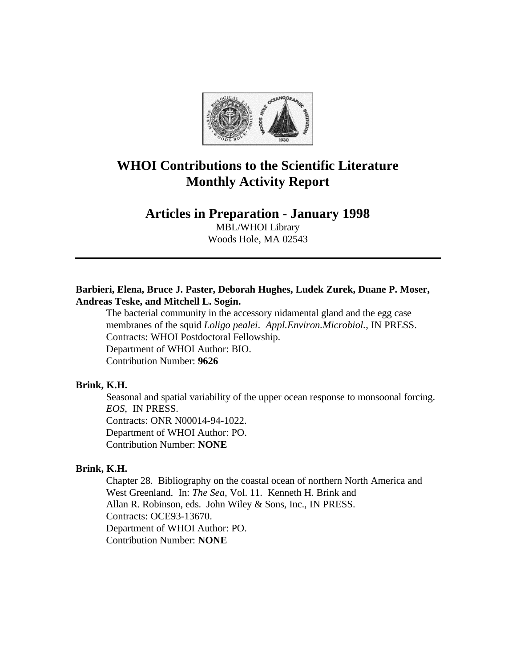

# **WHOI Contributions to the Scientific Literature Monthly Activity Report**

# **Articles in Preparation - January 1998**

MBL/WHOI Library Woods Hole, MA 02543

# **Barbieri, Elena, Bruce J. Paster, Deborah Hughes, Ludek Zurek, Duane P. Moser, Andreas Teske, and Mitchell L. Sogin.**

The bacterial community in the accessory nidamental gland and the egg case membranes of the squid *Loligo pealei*. *Appl.Environ.Microbiol.*, IN PRESS. Contracts: WHOI Postdoctoral Fellowship. Department of WHOI Author: BIO. Contribution Number: **9626**

## **Brink, K.H.**

Seasonal and spatial variability of the upper ocean response to monsoonal forcing. *EOS*, IN PRESS. Contracts: ONR N00014-94-1022. Department of WHOI Author: PO. Contribution Number: **NONE**

#### **Brink, K.H.**

Chapter 28. Bibliography on the coastal ocean of northern North America and West Greenland. In: *The Sea,* Vol. 11. Kenneth H. Brink and Allan R. Robinson, eds. John Wiley & Sons, Inc., IN PRESS. Contracts: OCE93-13670. Department of WHOI Author: PO. Contribution Number: **NONE**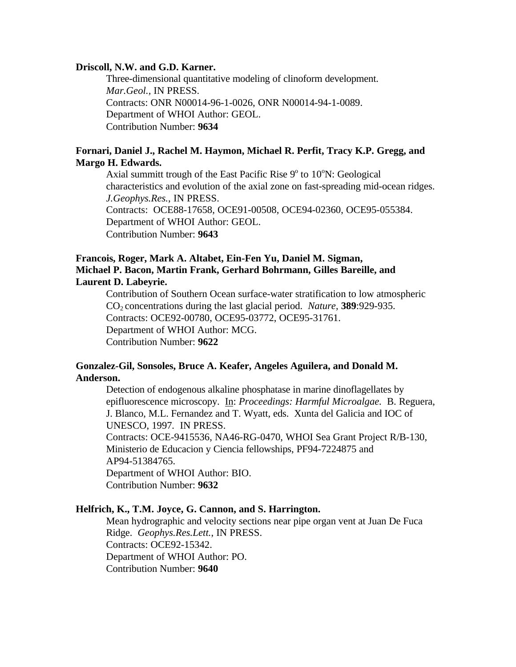#### **Driscoll, N.W. and G.D. Karner.**

Three-dimensional quantitative modeling of clinoform development. *Mar.Geol.,* IN PRESS. Contracts: ONR N00014-96-1-0026, ONR N00014-94-1-0089. Department of WHOI Author: GEOL. Contribution Number: **9634**

## **Fornari, Daniel J., Rachel M. Haymon, Michael R. Perfit, Tracy K.P. Gregg, and Margo H. Edwards.**

Axial summitt trough of the East Pacific Rise  $9^{\circ}$  to  $10^{\circ}$ N: Geological characteristics and evolution of the axial zone on fast-spreading mid-ocean ridges. *J.Geophys.Res.*, IN PRESS. Contracts: OCE88-17658, OCE91-00508, OCE94-02360, OCE95-055384. Department of WHOI Author: GEOL.

Contribution Number: **9643**

# **Francois, Roger, Mark A. Altabet, Ein-Fen Yu, Daniel M. Sigman, Michael P. Bacon, Martin Frank, Gerhard Bohrmann, Gilles Bareille, and Laurent D. Labeyrie.**

Contribution of Southern Ocean surface-water stratification to low atmospheric CO2 concentrations during the last glacial period. *Nature*, **389**:929-935. Contracts: OCE92-00780, OCE95-03772, OCE95-31761. Department of WHOI Author: MCG. Contribution Number: **9622**

## **Gonzalez-Gil, Sonsoles, Bruce A. Keafer, Angeles Aguilera, and Donald M. Anderson.**

Detection of endogenous alkaline phosphatase in marine dinoflagellates by epifluorescence microscopy. In: *Proceedings: Harmful Microalgae.* B. Reguera, J. Blanco, M.L. Fernandez and T. Wyatt, eds. Xunta del Galicia and IOC of UNESCO, 1997*.* IN PRESS.

Contracts: OCE-9415536, NA46-RG-0470, WHOI Sea Grant Project R/B-130, Ministerio de Educacion y Ciencia fellowships, PF94-7224875 and AP94-51384765.

Department of WHOI Author: BIO. Contribution Number: **9632**

## **Helfrich, K., T.M. Joyce, G. Cannon, and S. Harrington.**

Mean hydrographic and velocity sections near pipe organ vent at Juan De Fuca Ridge. *Geophys.Res.Lett.*, IN PRESS. Contracts: OCE92-15342. Department of WHOI Author: PO. Contribution Number: **9640**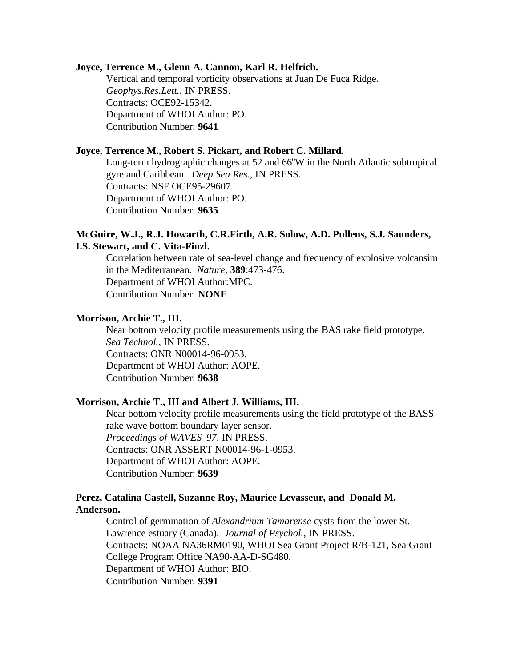#### **Joyce, Terrence M., Glenn A. Cannon, Karl R. Helfrich.**

Vertical and temporal vorticity observations at Juan De Fuca Ridge. *Geophys.Res.Lett.*, IN PRESS. Contracts: OCE92-15342. Department of WHOI Author: PO. Contribution Number: **9641**

#### **Joyce, Terrence M., Robert S. Pickart, and Robert C. Millard.**

Long-term hydrographic changes at  $52$  and  $66^{\circ}W$  in the North Atlantic subtropical gyre and Caribbean. *Deep Sea Res.*, IN PRESS. Contracts: NSF OCE95-29607. Department of WHOI Author: PO. Contribution Number: **9635**

## **McGuire, W.J., R.J. Howarth, C.R.Firth, A.R. Solow, A.D. Pullens, S.J. Saunders, I.S. Stewart, and C. Vita-Finzl.**

Correlation between rate of sea-level change and frequency of explosive volcansim in the Mediterranean. *Nature*, **389**:473-476. Department of WHOI Author:MPC. Contribution Number: **NONE**

#### **Morrison, Archie T., III.**

Near bottom velocity profile measurements using the BAS rake field prototype. *Sea Technol.*, IN PRESS. Contracts: ONR N00014-96-0953. Department of WHOI Author: AOPE. Contribution Number: **9638**

#### **Morrison, Archie T., III and Albert J. Williams, III.**

Near bottom velocity profile measurements using the field prototype of the BASS rake wave bottom boundary layer sensor. *Proceedings of WAVES '97*, IN PRESS. Contracts: ONR ASSERT N00014-96-1-0953. Department of WHOI Author: AOPE. Contribution Number: **9639**

## **Perez, Catalina Castell, Suzanne Roy, Maurice Levasseur, and Donald M. Anderson.**

Control of germination of *Alexandrium Tamarense* cysts from the lower St. Lawrence estuary (Canada). *Journal of Psychol.*, IN PRESS. Contracts: NOAA NA36RM0190, WHOI Sea Grant Project R/B-121, Sea Grant College Program Office NA90-AA-D-SG480. Department of WHOI Author: BIO. Contribution Number: **9391**